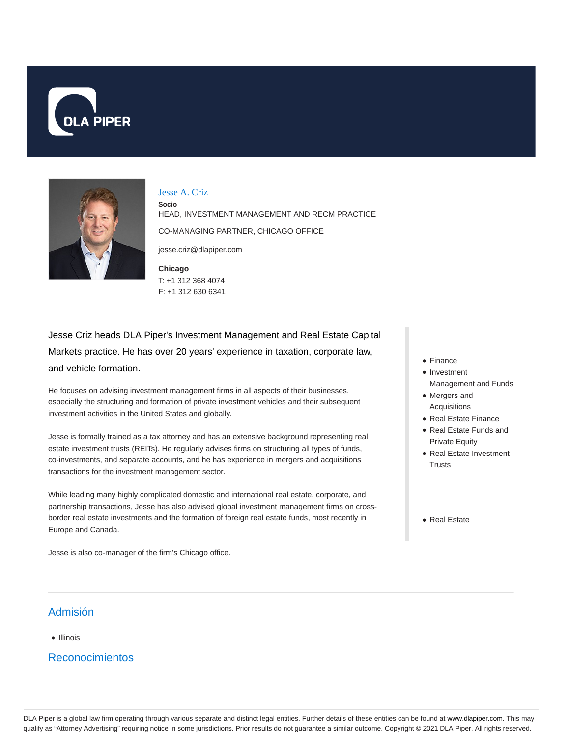



### Jesse A. Criz

**Socio** HEAD, INVESTMENT MANAGEMENT AND RECM PRACTICE CO-MANAGING PARTNER, CHICAGO OFFICE

jesse.criz@dlapiper.com

**Chicago** T: +1 312 368 4074 F: +1 312 630 6341

Jesse Criz heads DLA Piper's Investment Management and Real Estate Capital Markets practice. He has over 20 years' experience in taxation, corporate law, and vehicle formation.

He focuses on advising investment management firms in all aspects of their businesses, especially the structuring and formation of private investment vehicles and their subsequent investment activities in the United States and globally.

Jesse is formally trained as a tax attorney and has an extensive background representing real estate investment trusts (REITs). He regularly advises firms on structuring all types of funds, co-investments, and separate accounts, and he has experience in mergers and acquisitions transactions for the investment management sector.

While leading many highly complicated domestic and international real estate, corporate, and partnership transactions, Jesse has also advised global investment management firms on crossborder real estate investments and the formation of foreign real estate funds, most recently in Europe and Canada.

Jesse is also co-manager of the firm's Chicago office.

- Finance
- **a** Investment
- Management and Funds Mergers and
- Acquisitions
- Real Estate Finance
- Real Estate Funds and Private Equity
- Real Estate Investment **Trusts**
- Real Estate

# Admisión

#### Illinois

Reconocimientos